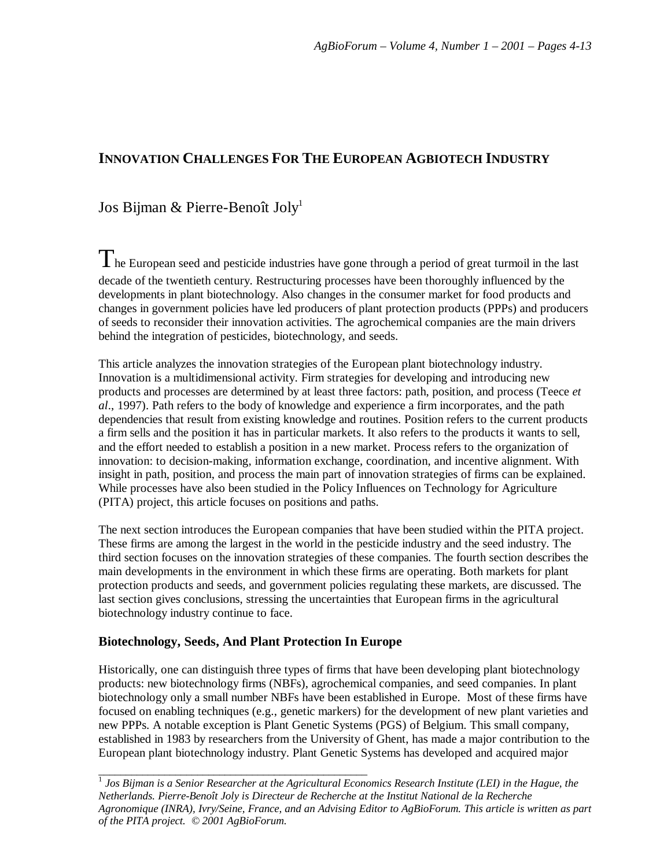# **INNOVATION CHALLENGES FOR THE EUROPEAN AGBIOTECH INDUSTRY**

## Jos Bijman & Pierre-Benoît Joly<sup>1</sup>

The European seed and pesticide industries have gone through a period of great turmoil in the last decade of the twentieth century. Restructuring processes have been thoroughly influenced by the developments in plant biotechnology. Also changes in the consumer market for food products and changes in government policies have led producers of plant protection products (PPPs) and producers of seeds to reconsider their innovation activities. The agrochemical companies are the main drivers behind the integration of pesticides, biotechnology, and seeds.

This article analyzes the innovation strategies of the European plant biotechnology industry. Innovation is a multidimensional activity. Firm strategies for developing and introducing new products and processes are determined by at least three factors: path, position, and process (Teece *et al*., 1997). Path refers to the body of knowledge and experience a firm incorporates, and the path dependencies that result from existing knowledge and routines. Position refers to the current products a firm sells and the position it has in particular markets. It also refers to the products it wants to sell, and the effort needed to establish a position in a new market. Process refers to the organization of innovation: to decision-making, information exchange, coordination, and incentive alignment. With insight in path, position, and process the main part of innovation strategies of firms can be explained. While processes have also been studied in the Policy Influences on Technology for Agriculture (PITA) project, this article focuses on positions and paths.

The next section introduces the European companies that have been studied within the PITA project. These firms are among the largest in the world in the pesticide industry and the seed industry. The third section focuses on the innovation strategies of these companies. The fourth section describes the main developments in the environment in which these firms are operating. Both markets for plant protection products and seeds, and government policies regulating these markets, are discussed. The last section gives conclusions, stressing the uncertainties that European firms in the agricultural biotechnology industry continue to face.

## **Biotechnology, Seeds, And Plant Protection In Europe**

Historically, one can distinguish three types of firms that have been developing plant biotechnology products: new biotechnology firms (NBFs), agrochemical companies, and seed companies. In plant biotechnology only a small number NBFs have been established in Europe. Most of these firms have focused on enabling techniques (e.g., genetic markers) for the development of new plant varieties and new PPPs. A notable exception is Plant Genetic Systems (PGS) of Belgium. This small company, established in 1983 by researchers from the University of Ghent, has made a major contribution to the European plant biotechnology industry. Plant Genetic Systems has developed and acquired major

<sup>1</sup><br><sup>1</sup> Jos Bijman is a Senior Researcher at the Agricultural Economics Research Institute (LEI) in the Hague, the *Netherlands. Pierre-Benoît Joly is Directeur de Recherche at the Institut National de la Recherche Agronomique (INRA), Ivry/Seine, France, and an Advising Editor to AgBioForum. This article is written as part of the PITA project. © 2001 AgBioForum.*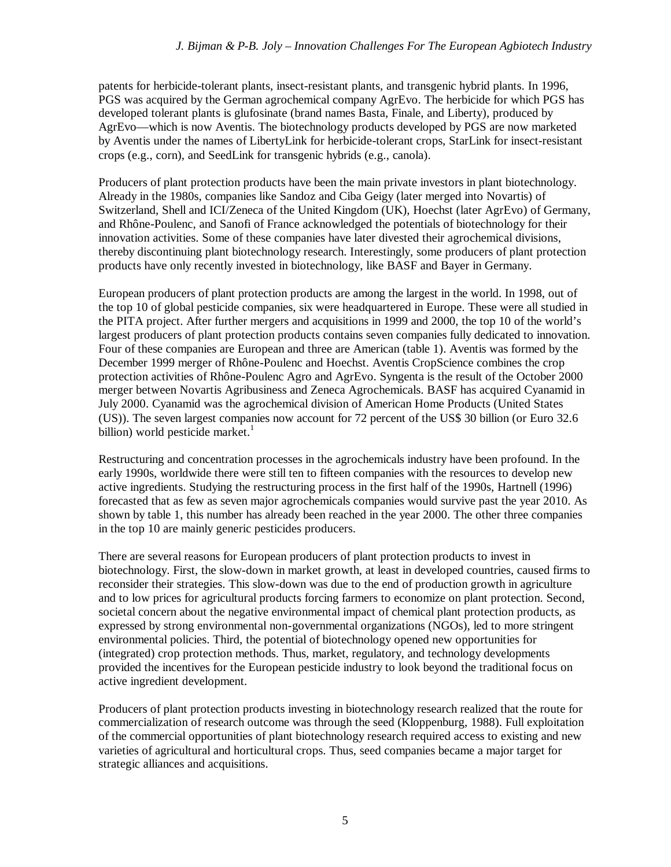patents for herbicide-tolerant plants, insect-resistant plants, and transgenic hybrid plants. In 1996, PGS was acquired by the German agrochemical company AgrEvo. The herbicide for which PGS has developed tolerant plants is glufosinate (brand names Basta, Finale, and Liberty), produced by AgrEvo— which is now Aventis. The biotechnology products developed by PGS are now marketed by Aventis under the names of LibertyLink for herbicide-tolerant crops, StarLink for insect-resistant crops (e.g., corn), and SeedLink for transgenic hybrids (e.g., canola).

Producers of plant protection products have been the main private investors in plant biotechnology. Already in the 1980s, companies like Sandoz and Ciba Geigy (later merged into Novartis) of Switzerland, Shell and ICI/Zeneca of the United Kingdom (UK), Hoechst (later AgrEvo) of Germany, and Rhône-Poulenc, and Sanofi of France acknowledged the potentials of biotechnology for their innovation activities. Some of these companies have later divested their agrochemical divisions, thereby discontinuing plant biotechnology research. Interestingly, some producers of plant protection products have only recently invested in biotechnology, like BASF and Bayer in Germany.

European producers of plant protection products are among the largest in the world. In 1998, out of the top 10 of global pesticide companies, six were headquartered in Europe. These were all studied in the PITA project. After further mergers and acquisitions in 1999 and 2000, the top 10 of the world's largest producers of plant protection products contains seven companies fully dedicated to innovation. Four of these companies are European and three are American (table 1). Aventis was formed by the December 1999 merger of Rhône-Poulenc and Hoechst. Aventis CropScience combines the crop protection activities of Rhône-Poulenc Agro and AgrEvo. Syngenta is the result of the October 2000 merger between Novartis Agribusiness and Zeneca Agrochemicals. BASF has acquired Cyanamid in July 2000. Cyanamid was the agrochemical division of American Home Products (United States (US)). The seven largest companies now account for 72 percent of the US\$ 30 billion (or Euro 32.6 billion) world pesticide market. $\frac{1}{1}$ 

Restructuring and concentration processes in the agrochemicals industry have been profound. In the early 1990s, worldwide there were still ten to fifteen companies with the resources to develop new active ingredients. Studying the restructuring process in the first half of the 1990s, Hartnell (1996) forecasted that as few as seven major agrochemicals companies would survive past the year 2010. As shown by table 1, this number has already been reached in the year 2000. The other three companies in the top 10 are mainly generic pesticides producers.

There are several reasons for European producers of plant protection products to invest in biotechnology. First, the slow-down in market growth, at least in developed countries, caused firms to reconsider their strategies. This slow-down was due to the end of production growth in agriculture and to low prices for agricultural products forcing farmers to economize on plant protection. Second, societal concern about the negative environmental impact of chemical plant protection products, as expressed by strong environmental non-governmental organizations (NGOs), led to more stringent environmental policies. Third, the potential of biotechnology opened new opportunities for (integrated) crop protection methods. Thus, market, regulatory, and technology developments provided the incentives for the European pesticide industry to look beyond the traditional focus on active ingredient development.

Producers of plant protection products investing in biotechnology research realized that the route for commercialization of research outcome was through the seed (Kloppenburg, 1988). Full exploitation of the commercial opportunities of plant biotechnology research required access to existing and new varieties of agricultural and horticultural crops. Thus, seed companies became a major target for strategic alliances and acquisitions.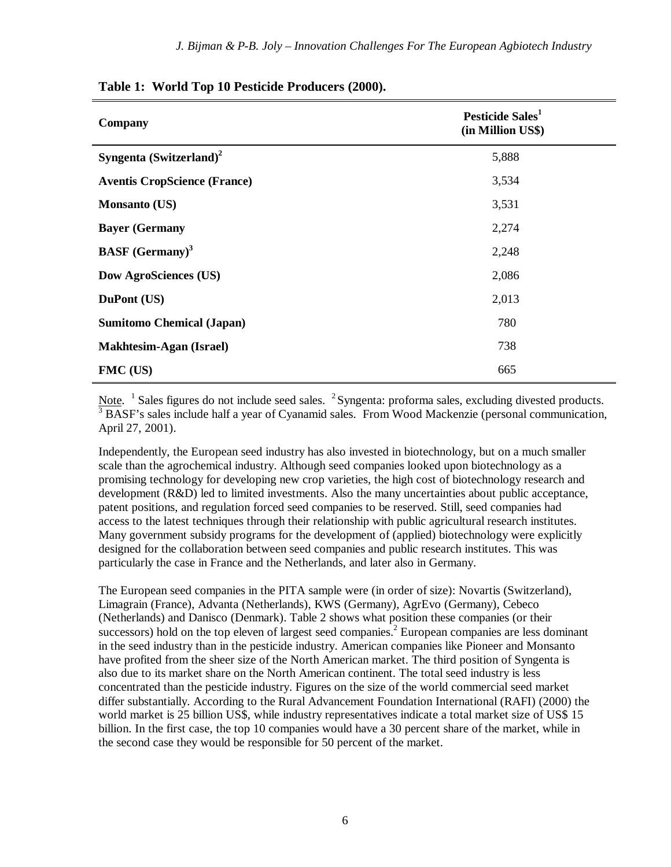| Company                             | Pesticide Sales <sup>1</sup><br>(in Million US\$) |
|-------------------------------------|---------------------------------------------------|
| Syngenta $(Switzerland)^2$          | 5,888                                             |
| <b>Aventis CropScience (France)</b> | 3,534                                             |
| <b>Monsanto (US)</b>                | 3,531                                             |
| <b>Bayer</b> (Germany               | 2,274                                             |
| <b>BASF</b> (Germany) <sup>3</sup>  | 2,248                                             |
| <b>Dow AgroSciences (US)</b>        | 2,086                                             |
| DuPont (US)                         | 2,013                                             |
| <b>Sumitomo Chemical (Japan)</b>    | 780                                               |
| <b>Makhtesim-Agan (Israel)</b>      | 738                                               |
| FMC (US)                            | 665                                               |

### **Table 1: World Top 10 Pesticide Producers (2000).**

Note. <sup>1</sup> Sales figures do not include seed sales. <sup>2</sup> Syngenta: proforma sales, excluding divested products. <sup>3</sup> BASF's sales include half a year of Cyanamid sales. From Wood Mackenzie (personal communication, April 27, 2001).

Independently, the European seed industry has also invested in biotechnology, but on a much smaller scale than the agrochemical industry. Although seed companies looked upon biotechnology as a promising technology for developing new crop varieties, the high cost of biotechnology research and development (R&D) led to limited investments. Also the many uncertainties about public acceptance, patent positions, and regulation forced seed companies to be reserved. Still, seed companies had access to the latest techniques through their relationship with public agricultural research institutes. Many government subsidy programs for the development of (applied) biotechnology were explicitly designed for the collaboration between seed companies and public research institutes. This was particularly the case in France and the Netherlands, and later also in Germany.

The European seed companies in the PITA sample were (in order of size): Novartis (Switzerland), Limagrain (France), Advanta (Netherlands), KWS (Germany), AgrEvo (Germany), Cebeco (Netherlands) and Danisco (Denmark). Table 2 shows what position these companies (or their successors) hold on the top eleven of largest seed companies.<sup>2</sup> European companies are less dominant in the seed industry than in the pesticide industry. American companies like Pioneer and Monsanto have profited from the sheer size of the North American market. The third position of Syngenta is also due to its market share on the North American continent. The total seed industry is less concentrated than the pesticide industry. Figures on the size of the world commercial seed market differ substantially. According to the Rural Advancement Foundation International (RAFI) (2000) the world market is 25 billion US\$, while industry representatives indicate a total market size of US\$ 15 billion. In the first case, the top 10 companies would have a 30 percent share of the market, while in the second case they would be responsible for 50 percent of the market.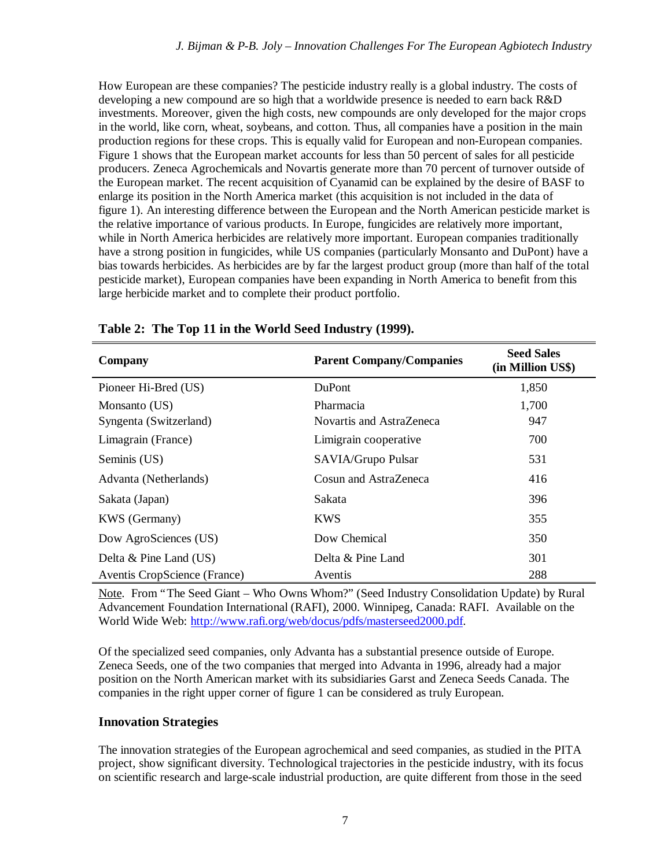How European are these companies? The pesticide industry really is a global industry. The costs of developing a new compound are so high that a worldwide presence is needed to earn back R&D investments. Moreover, given the high costs, new compounds are only developed for the major crops in the world, like corn, wheat, soybeans, and cotton. Thus, all companies have a position in the main production regions for these crops. This is equally valid for European and non-European companies. Figure 1 shows that the European market accounts for less than 50 percent of sales for all pesticide producers. Zeneca Agrochemicals and Novartis generate more than 70 percent of turnover outside of the European market. The recent acquisition of Cyanamid can be explained by the desire of BASF to enlarge its position in the North America market (this acquisition is not included in the data of figure 1). An interesting difference between the European and the North American pesticide market is the relative importance of various products. In Europe, fungicides are relatively more important, while in North America herbicides are relatively more important. European companies traditionally have a strong position in fungicides, while US companies (particularly Monsanto and DuPont) have a bias towards herbicides. As herbicides are by far the largest product group (more than half of the total pesticide market), European companies have been expanding in North America to benefit from this large herbicide market and to complete their product portfolio.

| Company                      | <b>Parent Company/Companies</b> | <b>Seed Sales</b><br>(in Million US\$) |
|------------------------------|---------------------------------|----------------------------------------|
| Pioneer Hi-Bred (US)         | <b>DuPont</b>                   | 1,850                                  |
| Monsanto (US)                | Pharmacia                       | 1,700                                  |
| Syngenta (Switzerland)       | Novartis and AstraZeneca        | 947                                    |
| Limagrain (France)           | Limigrain cooperative           | 700                                    |
| Seminis (US)                 | SAVIA/Grupo Pulsar              | 531                                    |
| Advanta (Netherlands)        | Cosun and AstraZeneca           | 416                                    |
| Sakata (Japan)               | Sakata                          | 396                                    |
| <b>KWS</b> (Germany)         | <b>KWS</b>                      | 355                                    |
| Dow AgroSciences (US)        | Dow Chemical                    | 350                                    |
| Delta & Pine Land (US)       | Delta & Pine Land               | 301                                    |
| Aventis CropScience (France) | Aventis                         | 288                                    |

**Table 2: The Top 11 in the World Seed Industry (1999).**

Note. From "The Seed Giant – Who Owns Whom?" (Seed Industry Consolidation Update) by Rural Advancement Foundation International (RAFI), 2000. Winnipeg, Canada: RAFI. Available on the World Wide Web: http://www.rafi.org/web/docus/pdfs/masterseed2000.pdf.

Of the specialized seed companies, only Advanta has a substantial presence outside of Europe. Zeneca Seeds, one of the two companies that merged into Advanta in 1996, already had a major position on the North American market with its subsidiaries Garst and Zeneca Seeds Canada. The companies in the right upper corner of figure 1 can be considered as truly European.

## **Innovation Strategies**

The innovation strategies of the European agrochemical and seed companies, as studied in the PITA project, show significant diversity. Technological trajectories in the pesticide industry, with its focus on scientific research and large-scale industrial production, are quite different from those in the seed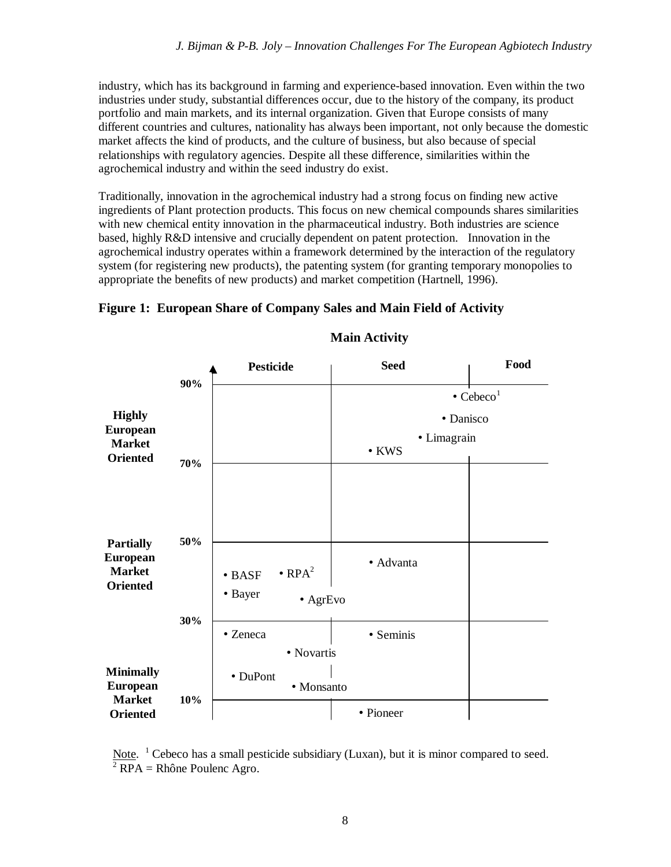industry, which has its background in farming and experience-based innovation. Even within the two industries under study, substantial differences occur, due to the history of the company, its product portfolio and main markets, and its internal organization. Given that Europe consists of many different countries and cultures, nationality has always been important, not only because the domestic market affects the kind of products, and the culture of business, but also because of special relationships with regulatory agencies. Despite all these difference, similarities within the agrochemical industry and within the seed industry do exist.

Traditionally, innovation in the agrochemical industry had a strong focus on finding new active ingredients of Plant protection products. This focus on new chemical compounds shares similarities with new chemical entity innovation in the pharmaceutical industry. Both industries are science based, highly R&D intensive and crucially dependent on patent protection. Innovation in the agrochemical industry operates within a framework determined by the interaction of the regulatory system (for registering new products), the patenting system (for granting temporary monopolies to appropriate the benefits of new products) and market competition (Hartnell, 1996).



**Figure 1: European Share of Company Sales and Main Field of Activity**

**Main Activity**

Note. <sup>1</sup> Cebeco has a small pesticide subsidiary (Luxan), but it is minor compared to seed.  $2$  RPA = Rhône Poulenc Agro.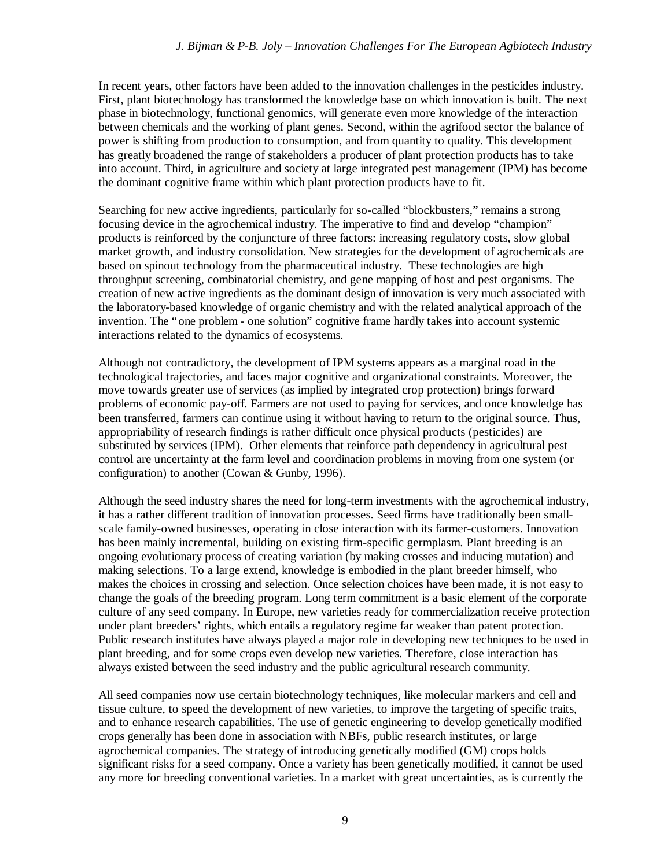In recent years, other factors have been added to the innovation challenges in the pesticides industry. First, plant biotechnology has transformed the knowledge base on which innovation is built. The next phase in biotechnology, functional genomics, will generate even more knowledge of the interaction between chemicals and the working of plant genes. Second, within the agrifood sector the balance of power is shifting from production to consumption, and from quantity to quality. This development has greatly broadened the range of stakeholders a producer of plant protection products has to take into account. Third, in agriculture and society at large integrated pest management (IPM) has become the dominant cognitive frame within which plant protection products have to fit.

Searching for new active ingredients, particularly for so-called "blockbusters," remains a strong focusing device in the agrochemical industry. The imperative to find and develop "champion" products is reinforced by the conjuncture of three factors: increasing regulatory costs, slow global market growth, and industry consolidation. New strategies for the development of agrochemicals are based on spinout technology from the pharmaceutical industry. These technologies are high throughput screening, combinatorial chemistry, and gene mapping of host and pest organisms. The creation of new active ingredients as the dominant design of innovation is very much associated with the laboratory-based knowledge of organic chemistry and with the related analytical approach of the invention. The "one problem - one solution" cognitive frame hardly takes into account systemic interactions related to the dynamics of ecosystems.

Although not contradictory, the development of IPM systems appears as a marginal road in the technological trajectories, and faces major cognitive and organizational constraints. Moreover, the move towards greater use of services (as implied by integrated crop protection) brings forward problems of economic pay-off. Farmers are not used to paying for services, and once knowledge has been transferred, farmers can continue using it without having to return to the original source. Thus, appropriability of research findings is rather difficult once physical products (pesticides) are substituted by services (IPM). Other elements that reinforce path dependency in agricultural pest control are uncertainty at the farm level and coordination problems in moving from one system (or configuration) to another (Cowan & Gunby, 1996).

Although the seed industry shares the need for long-term investments with the agrochemical industry, it has a rather different tradition of innovation processes. Seed firms have traditionally been smallscale family-owned businesses, operating in close interaction with its farmer-customers. Innovation has been mainly incremental, building on existing firm-specific germplasm. Plant breeding is an ongoing evolutionary process of creating variation (by making crosses and inducing mutation) and making selections. To a large extend, knowledge is embodied in the plant breeder himself, who makes the choices in crossing and selection. Once selection choices have been made, it is not easy to change the goals of the breeding program. Long term commitment is a basic element of the corporate culture of any seed company. In Europe, new varieties ready for commercialization receive protection under plant breeders' rights, which entails a regulatory regime far weaker than patent protection. Public research institutes have always played a major role in developing new techniques to be used in plant breeding, and for some crops even develop new varieties. Therefore, close interaction has always existed between the seed industry and the public agricultural research community.

All seed companies now use certain biotechnology techniques, like molecular markers and cell and tissue culture, to speed the development of new varieties, to improve the targeting of specific traits, and to enhance research capabilities. The use of genetic engineering to develop genetically modified crops generally has been done in association with NBFs, public research institutes, or large agrochemical companies. The strategy of introducing genetically modified (GM) crops holds significant risks for a seed company. Once a variety has been genetically modified, it cannot be used any more for breeding conventional varieties. In a market with great uncertainties, as is currently the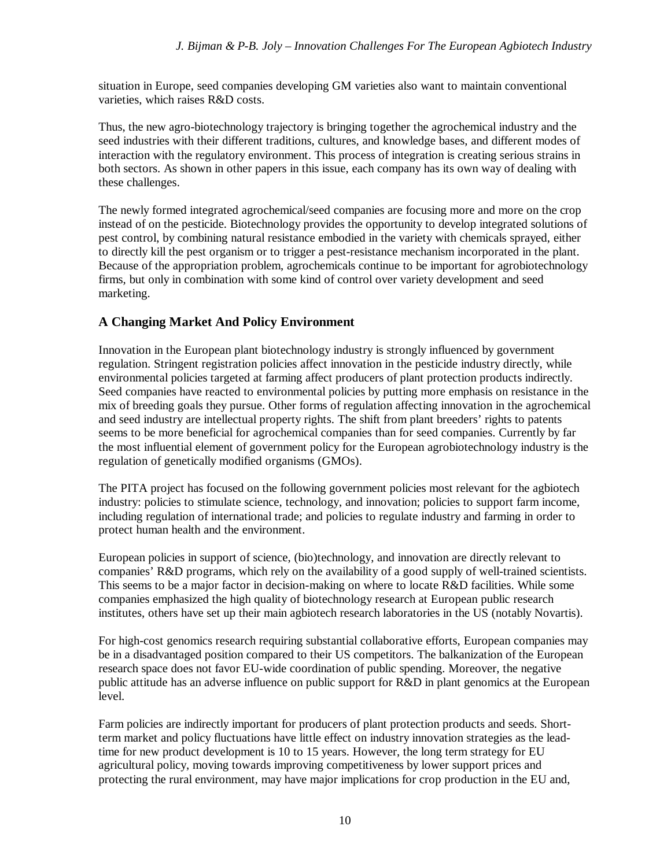situation in Europe, seed companies developing GM varieties also want to maintain conventional varieties, which raises R&D costs.

Thus, the new agro-biotechnology trajectory is bringing together the agrochemical industry and the seed industries with their different traditions, cultures, and knowledge bases, and different modes of interaction with the regulatory environment. This process of integration is creating serious strains in both sectors. As shown in other papers in this issue, each company has its own way of dealing with these challenges.

The newly formed integrated agrochemical/seed companies are focusing more and more on the crop instead of on the pesticide. Biotechnology provides the opportunity to develop integrated solutions of pest control, by combining natural resistance embodied in the variety with chemicals sprayed, either to directly kill the pest organism or to trigger a pest-resistance mechanism incorporated in the plant. Because of the appropriation problem, agrochemicals continue to be important for agrobiotechnology firms, but only in combination with some kind of control over variety development and seed marketing.

## **A Changing Market And Policy Environment**

Innovation in the European plant biotechnology industry is strongly influenced by government regulation. Stringent registration policies affect innovation in the pesticide industry directly, while environmental policies targeted at farming affect producers of plant protection products indirectly. Seed companies have reacted to environmental policies by putting more emphasis on resistance in the mix of breeding goals they pursue. Other forms of regulation affecting innovation in the agrochemical and seed industry are intellectual property rights. The shift from plant breeders' rights to patents seems to be more beneficial for agrochemical companies than for seed companies. Currently by far the most influential element of government policy for the European agrobiotechnology industry is the regulation of genetically modified organisms (GMOs).

The PITA project has focused on the following government policies most relevant for the agbiotech industry: policies to stimulate science, technology, and innovation; policies to support farm income, including regulation of international trade; and policies to regulate industry and farming in order to protect human health and the environment.

European policies in support of science, (bio)technology, and innovation are directly relevant to companies' R&D programs, which rely on the availability of a good supply of well-trained scientists. This seems to be a major factor in decision-making on where to locate R&D facilities. While some companies emphasized the high quality of biotechnology research at European public research institutes, others have set up their main agbiotech research laboratories in the US (notably Novartis).

For high-cost genomics research requiring substantial collaborative efforts, European companies may be in a disadvantaged position compared to their US competitors. The balkanization of the European research space does not favor EU-wide coordination of public spending. Moreover, the negative public attitude has an adverse influence on public support for R&D in plant genomics at the European level.

Farm policies are indirectly important for producers of plant protection products and seeds. Shortterm market and policy fluctuations have little effect on industry innovation strategies as the leadtime for new product development is 10 to 15 years. However, the long term strategy for EU agricultural policy, moving towards improving competitiveness by lower support prices and protecting the rural environment, may have major implications for crop production in the EU and,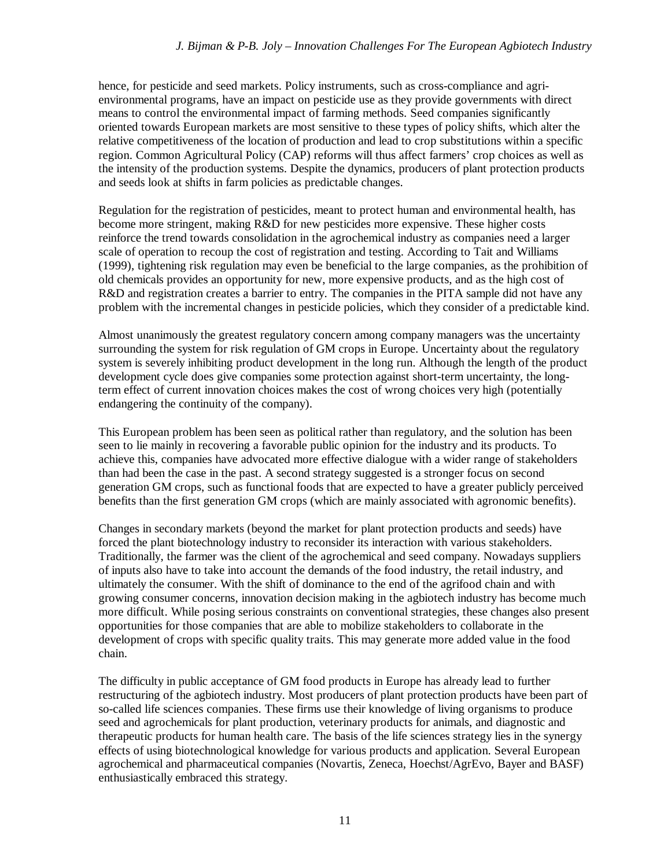hence, for pesticide and seed markets. Policy instruments, such as cross-compliance and agrienvironmental programs, have an impact on pesticide use as they provide governments with direct means to control the environmental impact of farming methods. Seed companies significantly oriented towards European markets are most sensitive to these types of policy shifts, which alter the relative competitiveness of the location of production and lead to crop substitutions within a specific region. Common Agricultural Policy (CAP) reforms will thus affect farmers' crop choices as well as the intensity of the production systems. Despite the dynamics, producers of plant protection products and seeds look at shifts in farm policies as predictable changes.

Regulation for the registration of pesticides, meant to protect human and environmental health, has become more stringent, making R&D for new pesticides more expensive. These higher costs reinforce the trend towards consolidation in the agrochemical industry as companies need a larger scale of operation to recoup the cost of registration and testing. According to Tait and Williams (1999), tightening risk regulation may even be beneficial to the large companies, as the prohibition of old chemicals provides an opportunity for new, more expensive products, and as the high cost of R&D and registration creates a barrier to entry. The companies in the PITA sample did not have any problem with the incremental changes in pesticide policies, which they consider of a predictable kind.

Almost unanimously the greatest regulatory concern among company managers was the uncertainty surrounding the system for risk regulation of GM crops in Europe. Uncertainty about the regulatory system is severely inhibiting product development in the long run. Although the length of the product development cycle does give companies some protection against short-term uncertainty, the longterm effect of current innovation choices makes the cost of wrong choices very high (potentially endangering the continuity of the company).

This European problem has been seen as political rather than regulatory, and the solution has been seen to lie mainly in recovering a favorable public opinion for the industry and its products. To achieve this, companies have advocated more effective dialogue with a wider range of stakeholders than had been the case in the past. A second strategy suggested is a stronger focus on second generation GM crops, such as functional foods that are expected to have a greater publicly perceived benefits than the first generation GM crops (which are mainly associated with agronomic benefits).

Changes in secondary markets (beyond the market for plant protection products and seeds) have forced the plant biotechnology industry to reconsider its interaction with various stakeholders. Traditionally, the farmer was the client of the agrochemical and seed company. Nowadays suppliers of inputs also have to take into account the demands of the food industry, the retail industry, and ultimately the consumer. With the shift of dominance to the end of the agrifood chain and with growing consumer concerns, innovation decision making in the agbiotech industry has become much more difficult. While posing serious constraints on conventional strategies, these changes also present opportunities for those companies that are able to mobilize stakeholders to collaborate in the development of crops with specific quality traits. This may generate more added value in the food chain.

The difficulty in public acceptance of GM food products in Europe has already lead to further restructuring of the agbiotech industry. Most producers of plant protection products have been part of so-called life sciences companies. These firms use their knowledge of living organisms to produce seed and agrochemicals for plant production, veterinary products for animals, and diagnostic and therapeutic products for human health care. The basis of the life sciences strategy lies in the synergy effects of using biotechnological knowledge for various products and application. Several European agrochemical and pharmaceutical companies (Novartis, Zeneca, Hoechst/AgrEvo, Bayer and BASF) enthusiastically embraced this strategy.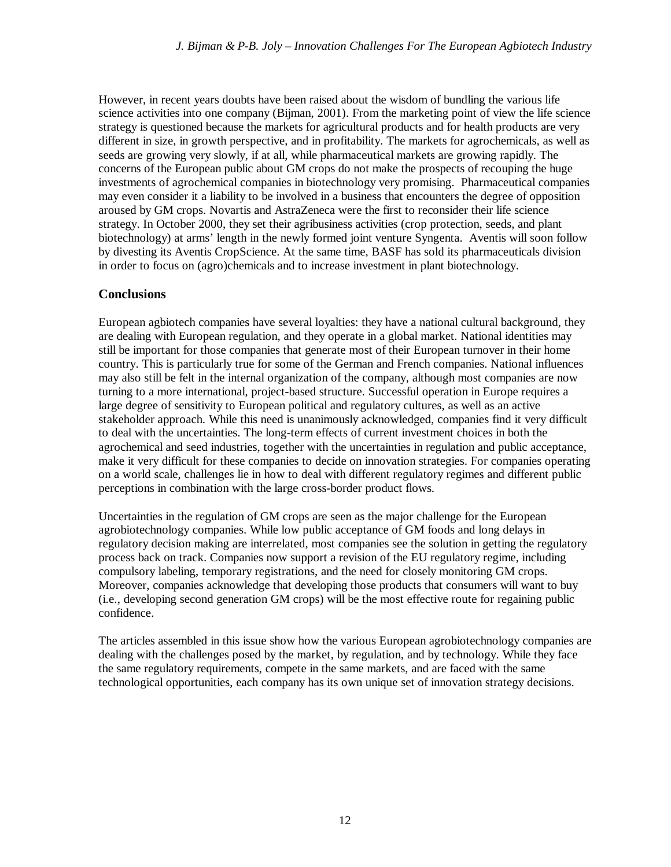However, in recent years doubts have been raised about the wisdom of bundling the various life science activities into one company (Bijman, 2001). From the marketing point of view the life science strategy is questioned because the markets for agricultural products and for health products are very different in size, in growth perspective, and in profitability. The markets for agrochemicals, as well as seeds are growing very slowly, if at all, while pharmaceutical markets are growing rapidly. The concerns of the European public about GM crops do not make the prospects of recouping the huge investments of agrochemical companies in biotechnology very promising. Pharmaceutical companies may even consider it a liability to be involved in a business that encounters the degree of opposition aroused by GM crops. Novartis and AstraZeneca were the first to reconsider their life science strategy. In October 2000, they set their agribusiness activities (crop protection, seeds, and plant biotechnology) at arms' length in the newly formed joint venture Syngenta. Aventis will soon follow by divesting its Aventis CropScience. At the same time, BASF has sold its pharmaceuticals division in order to focus on (agro)chemicals and to increase investment in plant biotechnology.

#### **Conclusions**

European agbiotech companies have several loyalties: they have a national cultural background, they are dealing with European regulation, and they operate in a global market. National identities may still be important for those companies that generate most of their European turnover in their home country. This is particularly true for some of the German and French companies. National influences may also still be felt in the internal organization of the company, although most companies are now turning to a more international, project-based structure. Successful operation in Europe requires a large degree of sensitivity to European political and regulatory cultures, as well as an active stakeholder approach. While this need is unanimously acknowledged, companies find it very difficult to deal with the uncertainties. The long-term effects of current investment choices in both the agrochemical and seed industries, together with the uncertainties in regulation and public acceptance, make it very difficult for these companies to decide on innovation strategies. For companies operating on a world scale, challenges lie in how to deal with different regulatory regimes and different public perceptions in combination with the large cross-border product flows.

Uncertainties in the regulation of GM crops are seen as the major challenge for the European agrobiotechnology companies. While low public acceptance of GM foods and long delays in regulatory decision making are interrelated, most companies see the solution in getting the regulatory process back on track. Companies now support a revision of the EU regulatory regime, including compulsory labeling, temporary registrations, and the need for closely monitoring GM crops. Moreover, companies acknowledge that developing those products that consumers will want to buy (i.e., developing second generation GM crops) will be the most effective route for regaining public confidence.

The articles assembled in this issue show how the various European agrobiotechnology companies are dealing with the challenges posed by the market, by regulation, and by technology. While they face the same regulatory requirements, compete in the same markets, and are faced with the same technological opportunities, each company has its own unique set of innovation strategy decisions.